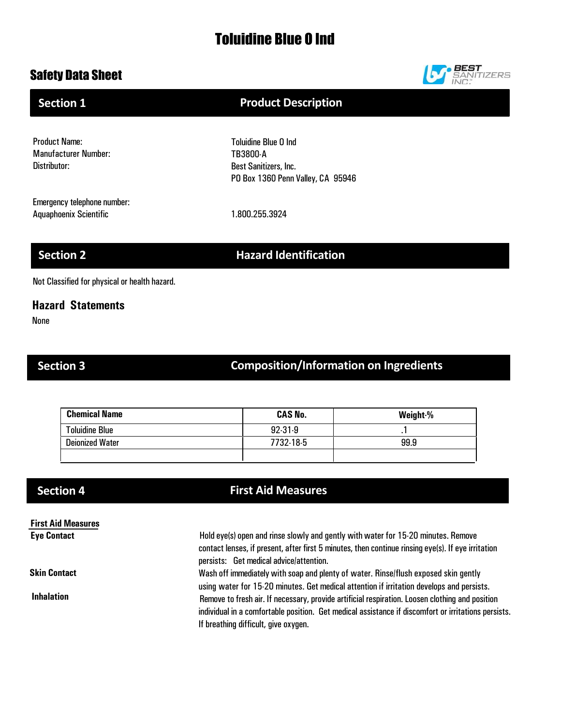# Toluidine Blue O Ind

## Safety Data Sheet



### Product Name: Manufacturer Number: Toluidine Blue O Ind TB3800-A **Section 1 Product Description**

Best Sanitizers, Inc. PO Box 1360 Penn Valley, CA 95946

Emergency telephone number: Aquaphoenix Scientific 1.800.255.3924

Distributor:

**Section 2 Hazard Identification** 

Not Classified for physical or health hazard.

### **Hazard Statements**

None

# Section 3 **Composition/Information on Ingredients**

| <b>Chemical Name</b>   | <b>CAS No.</b> | Weight-% |
|------------------------|----------------|----------|
| <b>Toluidine Blue</b>  | $92-31-9$      | . .      |
| <b>Deionized Water</b> | 7732-18-5      | 99.9     |
|                        |                |          |

### **First Aid Measures Eye Contact**

**Skin Contact**

**Inhalation**

# **Section 4 First Aid Measures**

Hold eye(s) open and rinse slowly and gently with water for 15-20 minutes. Remove contact lenses, if present, after first 5 minutes, then continue rinsing eye(s). If eye irritation persists: Get medical advice/attention.

Wash off immediately with soap and plenty of water. Rinse/flush exposed skin gently using water for 15-20 minutes. Get medical attention if irritation develops and persists. Remove to fresh air. If necessary, provide artificial respiration. Loosen clothing and position individual in a comfortable position. Get medical assistance if discomfort or irritations persists. If breathing difficult, give oxygen.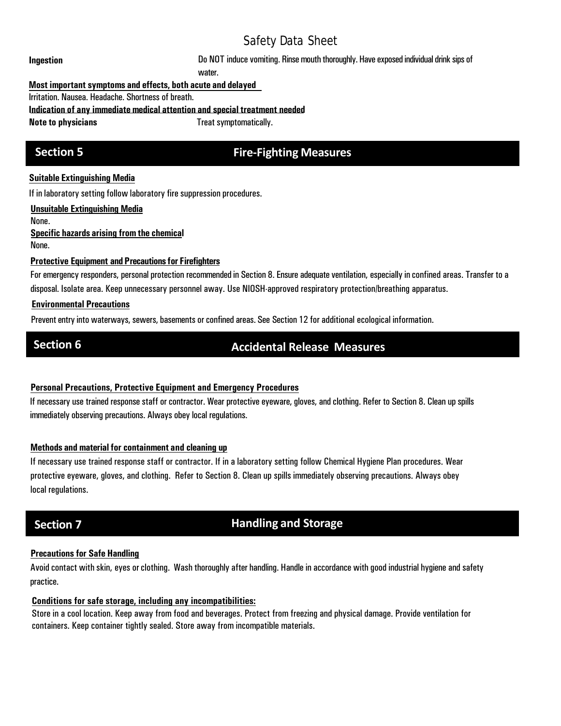**Ingestion Ingestion Example 20 NOT** induce vomiting. Rinse mouth thoroughly. Have exposed individual drink sips of

water.

### **Most important symptoms and effects, both acute and delayed**

Irritation. Nausea. Headache. Shortness of breath.

**Indication of any immediate medical attention and special treatment needed**

**Note to physicians**  $\qquad \qquad$  Treat symptomatically.

## **Section 5 Fire-Fighting Measures**

### **Suitable Extinguishing Media**

If in laboratory setting follow laboratory fire suppression procedures.

**Unsuitable Extinguishing Media**

None.

**Specific hazards arising fromthe chemical** None.

### **Protective Equipment and Precautions for Firefighters**

For emergency responders, personal protection recommended in Section 8. Ensure adequate ventilation, especially in confined areas. Transfer to a disposal. Isolate area. Keep unnecessary personnel away. Use NIOSH-approved respiratory protection/breathing apparatus.

### **Environmental Precautions**

Prevent entry into waterways, sewers, basements or confined areas. See Section 12 for additional ecological information.

# **Section 6 Accidental Release Measures**

### **Personal Precautions, Protective Equipment and Emergency Procedures**

If necessary use trained response staff or contractor. Wear protective eyeware, gloves, and clothing. Refer to Section 8. Clean up spills immediately observing precautions. Always obey local regulations.

### **Methods and material for containment and cleaning up**

If necessary use trained response staff or contractor. If in a laboratory setting follow Chemical Hygiene Plan procedures. Wear protective eyeware, gloves, and clothing. Refer to Section 8. Clean up spills immediately observing precautions. Always obey local regulations.

# **Section 7 Handling and Storage**

### **Precautions for Safe Handling**

Avoid contact with skin, eyes orclothing. Wash thoroughly after handling. Handle in accordance with good industrial hygiene and safety practice.

### **Conditions for safe storage, including any incompatibilities:**

Store in a cool location. Keep away from food and beverages. Protect from freezing and physical damage. Provide ventilation for containers. Keep container tightly sealed. Store away from incompatible materials.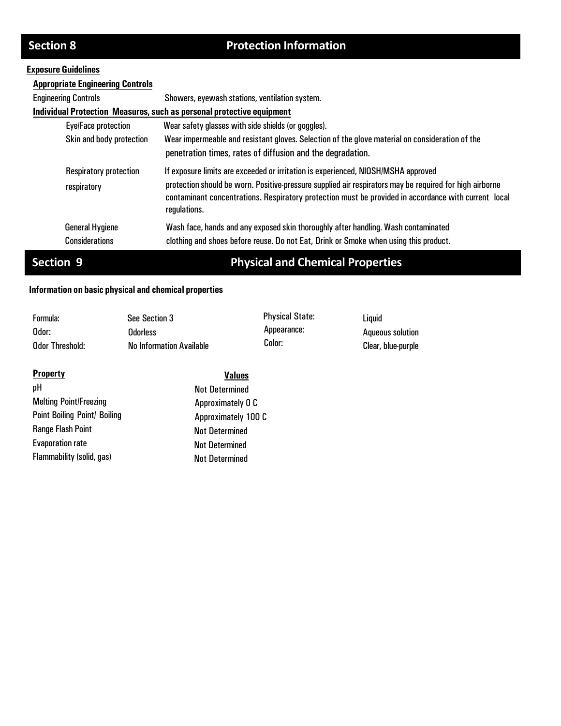# **Section 8** Protection Information

### **Exposure Guidelines**

| <b>Appropriate Engineering Controls</b>         |                                                                                                                                                                                                                                                                                                                      |
|-------------------------------------------------|----------------------------------------------------------------------------------------------------------------------------------------------------------------------------------------------------------------------------------------------------------------------------------------------------------------------|
| <b>Engineering Controls</b>                     | Showers, eyewash stations, ventilation system.                                                                                                                                                                                                                                                                       |
|                                                 | Individual Protection Measures, such as personal protective equipment                                                                                                                                                                                                                                                |
| Eye/Face protection                             | Wear safety glasses with side shields (or goggles).                                                                                                                                                                                                                                                                  |
| Skin and body protection                        | Wear impermeable and resistant gloves. Selection of the glove material on consideration of the<br>penetration times, rates of diffusion and the degradation.                                                                                                                                                         |
| <b>Respiratory protection</b><br>respiratory    | If exposure limits are exceeded or irritation is experienced, NIOSH/MSHA approved<br>protection should be worn. Positive-pressure supplied air respirators may be required for high airborne<br>contaminant concentrations. Respiratory protection must be provided in accordance with current local<br>regulations. |
| <b>General Hygiene</b><br><b>Considerations</b> | Wash face, hands and any exposed skin thoroughly after handling. Wash contaminated<br>clothing and shoes before reuse. Do not Eat, Drink or Smoke when using this product.                                                                                                                                           |

# **Section 9 Physical and Chemical Properties**

### **Information on basic physical and chemical properties**

| Formula:        | See Section 3                   | <b>Physical State:</b> | Liauid             |
|-----------------|---------------------------------|------------------------|--------------------|
| Odor:           | Odorless                        | Appearance:            | Aqueous solution   |
| Odor Threshold: | <b>No Information Available</b> | Color:                 | Clear, blue-purple |

| <b>Property</b>                     | <b>Values</b>         |
|-------------------------------------|-----------------------|
| pH                                  | <b>Not Determined</b> |
| <b>Melting Point/Freezing</b>       | Approximately 0 C     |
| <b>Point Boiling Point/ Boiling</b> | Approximately 100 C   |
| <b>Range Flash Point</b>            | <b>Not Determined</b> |
| <b>Evaporation rate</b>             | <b>Not Determined</b> |
| Flammability (solid, gas)           | <b>Not Determined</b> |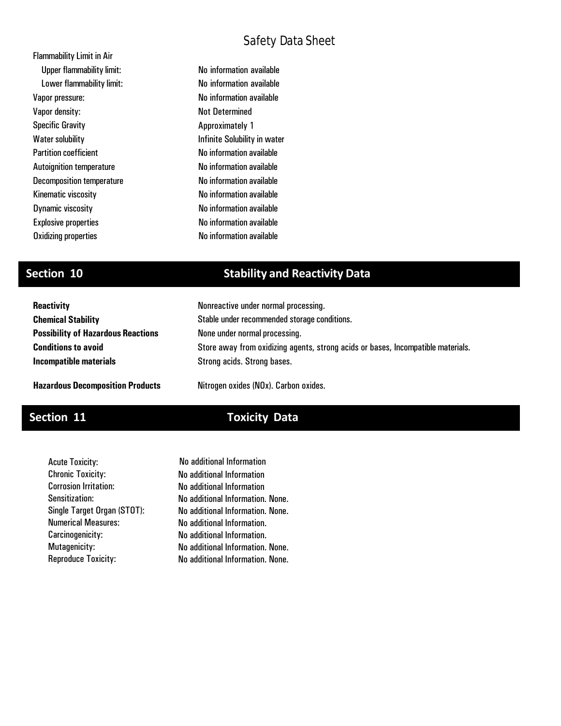| <b>Flammability Limit in Air</b> |         |
|----------------------------------|---------|
| <b>Upper flammability limit:</b> | No inf  |
| Lower flammability limit:        | No inf  |
| Vapor pressure:                  | No inf  |
| Vapor density:                   | Not D   |
| <b>Specific Gravity</b>          | Appro   |
| <b>Water solubility</b>          | Infinit |
| <b>Partition coefficient</b>     | No inf  |
| <b>Autoignition temperature</b>  | No inf  |
| <b>Decomposition temperature</b> | No inf  |
| Kinematic viscosity              | No inf  |
| Dynamic viscosity                | No inf  |
| <b>Explosive properties</b>      | No inf  |
| <b>Oxidizing properties</b>      | No inf  |
|                                  |         |

formation available formation available formation available letermined ximately 1 te Solubility in water iormation available  $\delta$ ormation available ormation available formation available formation available formation available formation available

## **Section 10 Stability and Reactivity Data**

| <b>Reactivity</b>                         | Nonreactive under normal processing.                                             |
|-------------------------------------------|----------------------------------------------------------------------------------|
| <b>Chemical Stability</b>                 | Stable under recommended storage conditions.                                     |
| <b>Possibility of Hazardous Reactions</b> | None under normal processing.                                                    |
| <b>Conditions to avoid</b>                | Store away from oxidizing agents, strong acids or bases, Incompatible materials. |
| Incompatible materials                    | Strong acids. Strong bases.                                                      |
|                                           |                                                                                  |

**Hazardous Decomposition Products**

### Nitrogen oxides (NOx). Carbon oxides.

# **Section 11 Toxicity Data**

Acute Toxicity: Chronic Toxicity: Corrosion Irritation: Sensitization: Single Target Organ (STOT): Numerical Measures: Carcinogenicity: Mutagenicity: Reproduce Toxicity:

No additional Information No additional Information No additional Information. None. No additional Information. None. No additional Information. No additional Information. No additional Information. None. No additional Information. None. No additional Information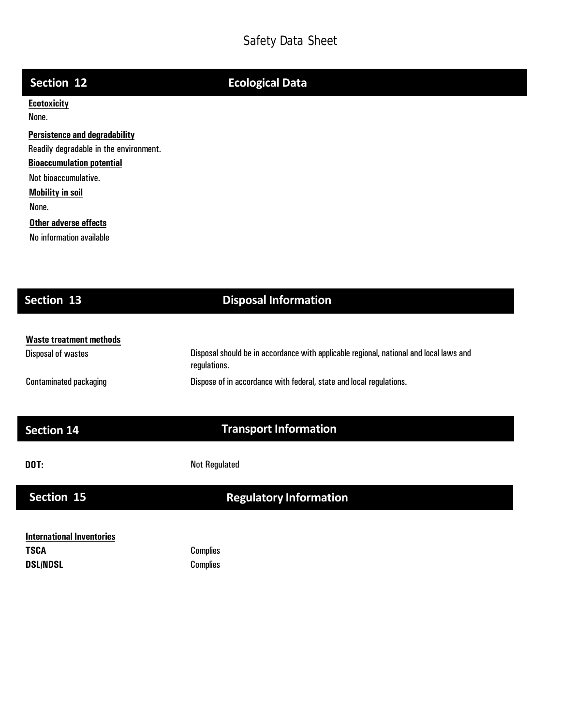| Section 12                             | <b>Ecological Data</b> |
|----------------------------------------|------------------------|
| <b>Ecotoxicity</b>                     |                        |
| None.                                  |                        |
| <b>Persistence and degradability</b>   |                        |
| Readily degradable in the environment. |                        |
| <b>Bioaccumulation potential</b>       |                        |
| Not bioaccumulative.                   |                        |
| <b>Mobility in soil</b>                |                        |
| None.                                  |                        |
| Other adverse effects                  |                        |
| No information available               |                        |
|                                        |                        |
|                                        |                        |
|                                        |                        |

# **Section 13 Disposal Information**

| Waste treatment methods       |                                                                                                        |
|-------------------------------|--------------------------------------------------------------------------------------------------------|
| Disposal of wastes            | Disposal should be in accordance with applicable regional, national and local laws and<br>regulations. |
| <b>Contaminated packaging</b> | Dispose of in accordance with federal, state and local regulations.                                    |

# **Section 14 Transport Information**

**DOT:** Not Regulated

# **Section 15 Regulatory Information**

| International Inventories |  |
|---------------------------|--|
| TSCA                      |  |
| DSL/NDSL                  |  |

**Complies Complies**